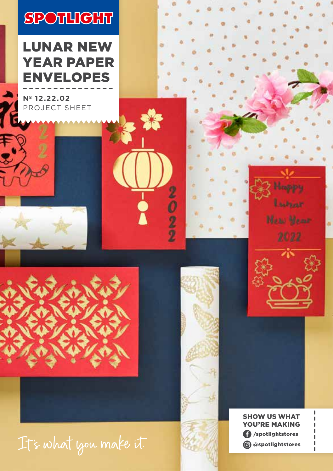# **SPOTLIGHT**

LUNAR NEW YEAR PAPER ENVELOPES

**Nº 12.22.02** PROJECT SHEET







 $\frac{9}{2}$ 



Hoppy

Listener

**Mass Money**